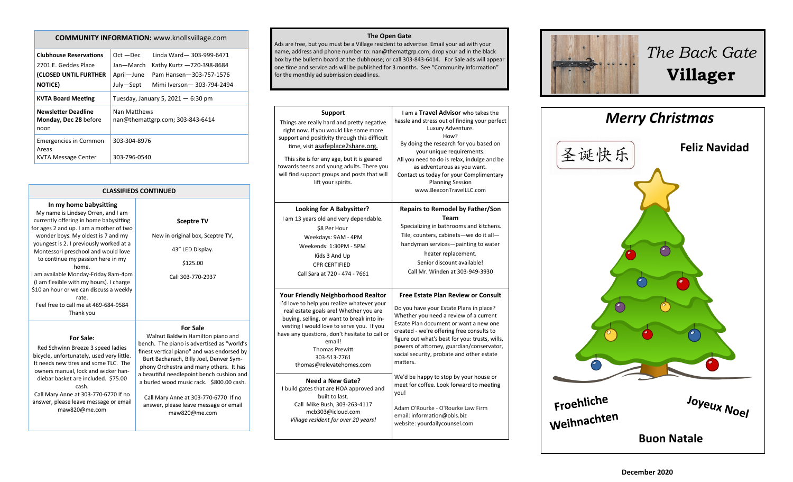### **COMMUNITY INFORMATION:** www.knollsvillage.com

| <b>Clubhouse Reservations</b><br>2701 E. Geddes Place<br>(CLOSED UNTIL FURTHER<br><b>NOTICE)</b> | Linda Ward-303-999-6471<br>$Oct - Dec$<br>Jan-March<br>Kathy Kurtz -720-398-8684<br>April-June<br>Pam Hansen-303-757-1576<br>July-Sept<br>Mimi Iverson-303-794-2494 |  |  |  |  |
|--------------------------------------------------------------------------------------------------|---------------------------------------------------------------------------------------------------------------------------------------------------------------------|--|--|--|--|
| <b>KVTA Board Meeting</b>                                                                        | Tuesday, January 5, $2021 - 6:30$ pm                                                                                                                                |  |  |  |  |
| <b>Newsletter Deadline</b><br>Monday, Dec 28 before<br>noon                                      | Nan Matthews<br>nan@themattgrp.com; 303-843-6414                                                                                                                    |  |  |  |  |
| Emergencies in Common<br>Areas                                                                   | 303-304-8976                                                                                                                                                        |  |  |  |  |
| KVTA Message Center                                                                              | 303-796-0540                                                                                                                                                        |  |  |  |  |

**CLASSIFIEDS CONTINUED**

|  |  | In my home babysitting |
|--|--|------------------------|
|  |  |                        |

My name is Lindsey Orren, and I am currently offering in home babysitting for ages 2 and up. I am a mother of two wonder boys. My oldest is 7 and my youngest is 2. I previously worked at a Montessori preschool and would love to continue my passion here in my home. I am available Monday-Friday 8am-4pm (I am flexible with my hours). I charge \$10 an hour or we can discuss a weekly rate. Feel free to call me at 469-684-9584 Thank you

**For Sale:**  Red Schwinn Breeze 3 speed ladies

dlebar basket are included. \$75.00 cash. Call Mary Anne at 303-770-6770 If no answer, please leave message or email maw820@me.com

# New in original box, Sceptre TV, 43" LED Display. \$125.00 Call 303-770-2937 **For Sale**

**Sceptre TV**

bicycle, unfortunately, used very little. It needs new tires and some TLC. The owners manual, lock and wicker han-Walnut Baldwin Hamilton piano and bench. The piano is advertised as "world's finest vertical piano" and was endorsed by Burt Bacharach, Billy Joel, Denver Symphony Orchestra and many others. It has a beautiful needlepoint bench cushion and a burled wood music rack. \$800.00 cash.

> Call Mary Anne at 303-770-6770 If no answer, please leave message or email maw820@me.com

#### **The Open Gate**

Ads are free, but you must be a Village resident to advertise. Email your ad with your name, address and phone number to: nan@themattgrp.com; drop your ad in the black box by the bulletin board at the clubhouse; or call 303-843-6414. For Sale ads will appear one time and service ads will be published for 3 months. See "Community Information" for the monthly ad submission deadlines.





*The Back Gate*  **Villager**